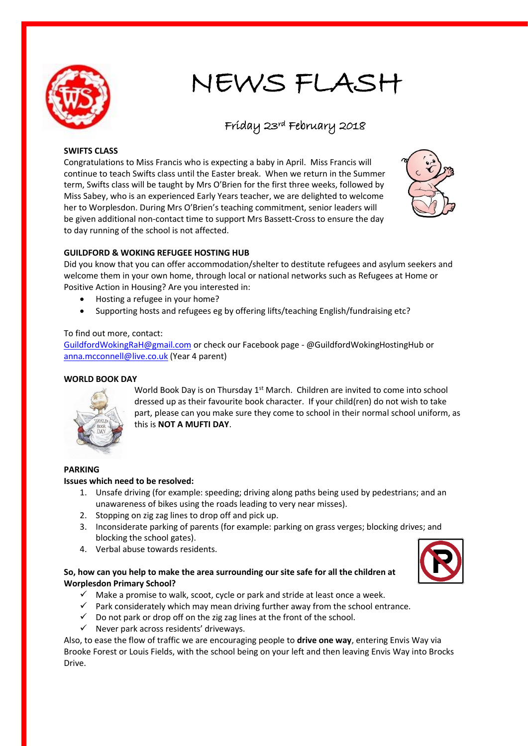

# NEWS FLASH

# Friday 23rd February 2018

#### **SWIFTS CLASS**

Congratulations to Miss Francis who is expecting a baby in April. Miss Francis will continue to teach Swifts class until the Easter break. When we return in the Summer term, Swifts class will be taught by Mrs O'Brien for the first three weeks, followed by Miss Sabey, who is an experienced Early Years teacher, we are delighted to welcome her to Worplesdon. During Mrs O'Brien's teaching commitment, senior leaders will be given additional non-contact time to support Mrs Bassett-Cross to ensure the day to day running of the school is not affected.



## **GUILDFORD & WOKING REFUGEE HOSTING HUB**

Did you know that you can offer accommodation/shelter to destitute refugees and asylum seekers and welcome them in your own home, through local or national networks such as Refugees at Home or Positive Action in Housing? Are you interested in:

- Hosting a refugee in your home?
- Supporting hosts and refugees eg by offering lifts/teaching English/fundraising etc?

#### To find out more, contact:

[GuildfordWokingRaH@gmail.com](mailto:GuildfordWokingRaH@gmail.com) or check our Facebook page - @GuildfordWokingHostingHub or [anna.mcconnell@live.co.uk](mailto:anna.mcconnell@live.co.uk) (Year 4 parent)

## **WORLD BOOK DAY**



World Book Day is on Thursday  $1<sup>st</sup>$  March. Children are invited to come into school dressed up as their favourite book character. If your child(ren) do not wish to take part, please can you make sure they come to school in their normal school uniform, as this is **NOT A MUFTI DAY**.

## **PARKING**

#### **Issues which need to be resolved:**

- 1. Unsafe driving (for example: speeding; driving along paths being used by pedestrians; and an unawareness of bikes using the roads leading to very near misses).
- 2. Stopping on zig zag lines to drop off and pick up.
- 3. Inconsiderate parking of parents (for example: parking on grass verges; blocking drives; and blocking the school gates).
- 4. Verbal abuse towards residents.

## **So, how can you help to make the area surrounding our site safe for all the children at Worplesdon Primary School?**

- $\checkmark$  Make a promise to walk, scoot, cycle or park and stride at least once a week.
- $\checkmark$  Park considerately which may mean driving further away from the school entrance.
- $\checkmark$  Do not park or drop off on the zig zag lines at the front of the school.
- $\checkmark$  Never park across residents' driveways.

Also, to ease the flow of traffic we are encouraging people to **drive one way**, entering Envis Way via Brooke Forest or Louis Fields, with the school being on your left and then leaving Envis Way into Brocks Drive.